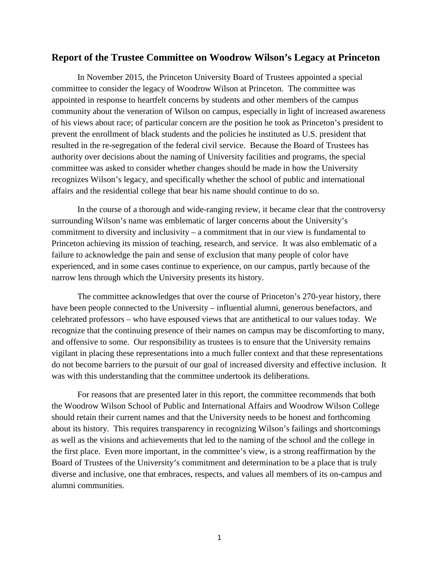# **Report of the Trustee Committee on Woodrow Wilson's Legacy at Princeton**

In November 2015, the Princeton University Board of Trustees appointed a special committee to consider the legacy of Woodrow Wilson at Princeton. The committee was appointed in response to heartfelt concerns by students and other members of the campus community about the veneration of Wilson on campus, especially in light of increased awareness of his views about race; of particular concern are the position he took as Princeton's president to prevent the enrollment of black students and the policies he instituted as U.S. president that resulted in the re-segregation of the federal civil service. Because the Board of Trustees has authority over decisions about the naming of University facilities and programs, the special committee was asked to consider whether changes should be made in how the University recognizes Wilson's legacy, and specifically whether the school of public and international affairs and the residential college that bear his name should continue to do so.

In the course of a thorough and wide-ranging review, it became clear that the controversy surrounding Wilson's name was emblematic of larger concerns about the University's commitment to diversity and inclusivity – a commitment that in our view is fundamental to Princeton achieving its mission of teaching, research, and service. It was also emblematic of a failure to acknowledge the pain and sense of exclusion that many people of color have experienced, and in some cases continue to experience, on our campus, partly because of the narrow lens through which the University presents its history.

The committee acknowledges that over the course of Princeton's 270-year history, there have been people connected to the University – influential alumni, generous benefactors, and celebrated professors – who have espoused views that are antithetical to our values today. We recognize that the continuing presence of their names on campus may be discomforting to many, and offensive to some. Our responsibility as trustees is to ensure that the University remains vigilant in placing these representations into a much fuller context and that these representations do not become barriers to the pursuit of our goal of increased diversity and effective inclusion. It was with this understanding that the committee undertook its deliberations.

For reasons that are presented later in this report, the committee recommends that both the Woodrow Wilson School of Public and International Affairs and Woodrow Wilson College should retain their current names and that the University needs to be honest and forthcoming about its history. This requires transparency in recognizing Wilson's failings and shortcomings as well as the visions and achievements that led to the naming of the school and the college in the first place. Even more important, in the committee's view, is a strong reaffirmation by the Board of Trustees of the University's commitment and determination to be a place that is truly diverse and inclusive, one that embraces, respects, and values all members of its on-campus and alumni communities.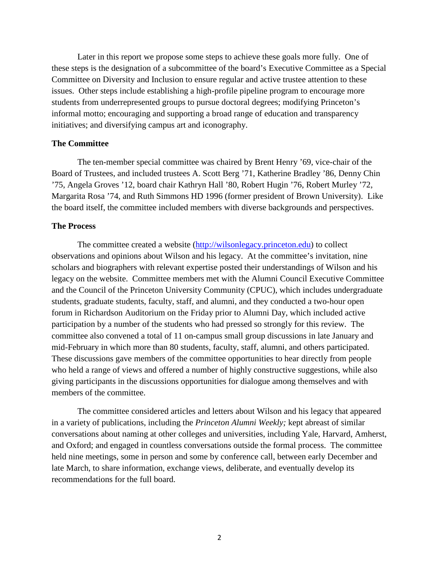Later in this report we propose some steps to achieve these goals more fully. One of these steps is the designation of a subcommittee of the board's Executive Committee as a Special Committee on Diversity and Inclusion to ensure regular and active trustee attention to these issues. Other steps include establishing a high-profile pipeline program to encourage more students from underrepresented groups to pursue doctoral degrees; modifying Princeton's informal motto; encouraging and supporting a broad range of education and transparency initiatives; and diversifying campus art and iconography.

# **The Committee**

The ten-member special committee was chaired by Brent Henry '69, vice-chair of the Board of Trustees, and included trustees A. Scott Berg '71, Katherine Bradley '86, Denny Chin '75, Angela Groves '12, board chair Kathryn Hall '80, Robert Hugin '76, Robert Murley '72, Margarita Rosa '74, and Ruth Simmons HD 1996 (former president of Brown University). Like the board itself, the committee included members with diverse backgrounds and perspectives.

### **The Process**

The committee created a website [\(http://wilsonlegacy.princeton.edu\)](http://wilsonlegacy.princeton.edu/) to collect observations and opinions about Wilson and his legacy. At the committee's invitation, nine scholars and biographers with relevant expertise posted their understandings of Wilson and his legacy on the website. Committee members met with the Alumni Council Executive Committee and the Council of the Princeton University Community (CPUC), which includes undergraduate students, graduate students, faculty, staff, and alumni, and they conducted a two-hour open forum in Richardson Auditorium on the Friday prior to Alumni Day, which included active participation by a number of the students who had pressed so strongly for this review. The committee also convened a total of 11 on-campus small group discussions in late January and mid-February in which more than 80 students, faculty, staff, alumni, and others participated. These discussions gave members of the committee opportunities to hear directly from people who held a range of views and offered a number of highly constructive suggestions, while also giving participants in the discussions opportunities for dialogue among themselves and with members of the committee.

The committee considered articles and letters about Wilson and his legacy that appeared in a variety of publications, including the *Princeton Alumni Weekly;* kept abreast of similar conversations about naming at other colleges and universities, including Yale, Harvard, Amherst, and Oxford; and engaged in countless conversations outside the formal process. The committee held nine meetings, some in person and some by conference call, between early December and late March, to share information, exchange views, deliberate, and eventually develop its recommendations for the full board.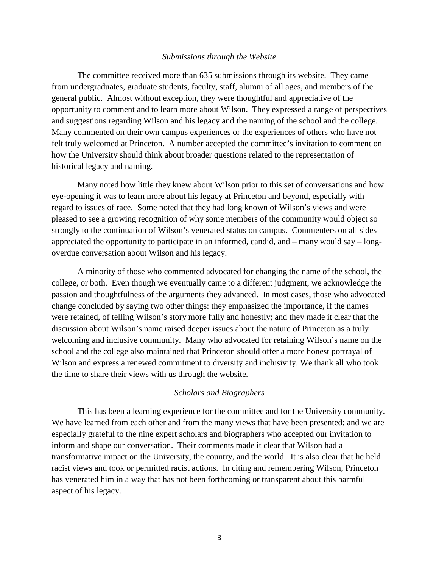#### *Submissions through the Website*

The committee received more than 635 submissions through its website. They came from undergraduates, graduate students, faculty, staff, alumni of all ages, and members of the general public. Almost without exception, they were thoughtful and appreciative of the opportunity to comment and to learn more about Wilson. They expressed a range of perspectives and suggestions regarding Wilson and his legacy and the naming of the school and the college. Many commented on their own campus experiences or the experiences of others who have not felt truly welcomed at Princeton. A number accepted the committee's invitation to comment on how the University should think about broader questions related to the representation of historical legacy and naming.

Many noted how little they knew about Wilson prior to this set of conversations and how eye-opening it was to learn more about his legacy at Princeton and beyond, especially with regard to issues of race. Some noted that they had long known of Wilson's views and were pleased to see a growing recognition of why some members of the community would object so strongly to the continuation of Wilson's venerated status on campus. Commenters on all sides appreciated the opportunity to participate in an informed, candid, and – many would say – longoverdue conversation about Wilson and his legacy.

A minority of those who commented advocated for changing the name of the school, the college, or both. Even though we eventually came to a different judgment, we acknowledge the passion and thoughtfulness of the arguments they advanced. In most cases, those who advocated change concluded by saying two other things: they emphasized the importance, if the names were retained, of telling Wilson's story more fully and honestly; and they made it clear that the discussion about Wilson's name raised deeper issues about the nature of Princeton as a truly welcoming and inclusive community. Many who advocated for retaining Wilson's name on the school and the college also maintained that Princeton should offer a more honest portrayal of Wilson and express a renewed commitment to diversity and inclusivity. We thank all who took the time to share their views with us through the website.

# *Scholars and Biographers*

This has been a learning experience for the committee and for the University community. We have learned from each other and from the many views that have been presented; and we are especially grateful to the nine expert scholars and biographers who accepted our invitation to inform and shape our conversation. Their comments made it clear that Wilson had a transformative impact on the University, the country, and the world. It is also clear that he held racist views and took or permitted racist actions. In citing and remembering Wilson, Princeton has venerated him in a way that has not been forthcoming or transparent about this harmful aspect of his legacy.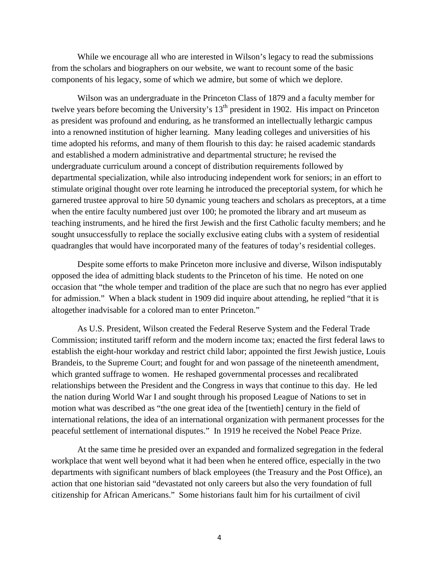While we encourage all who are interested in Wilson's legacy to read the submissions from the scholars and biographers on our website, we want to recount some of the basic components of his legacy, some of which we admire, but some of which we deplore.

Wilson was an undergraduate in the Princeton Class of 1879 and a faculty member for twelve years before becoming the University's 13<sup>th</sup> president in 1902. His impact on Princeton as president was profound and enduring, as he transformed an intellectually lethargic campus into a renowned institution of higher learning. Many leading colleges and universities of his time adopted his reforms, and many of them flourish to this day: he raised academic standards and established a modern administrative and departmental structure; he revised the undergraduate curriculum around a concept of distribution requirements followed by departmental specialization, while also introducing independent work for seniors; in an effort to stimulate original thought over rote learning he introduced the preceptorial system, for which he garnered trustee approval to hire 50 dynamic young teachers and scholars as preceptors, at a time when the entire faculty numbered just over 100; he promoted the library and art museum as teaching instruments, and he hired the first Jewish and the first Catholic faculty members; and he sought unsuccessfully to replace the socially exclusive eating clubs with a system of residential quadrangles that would have incorporated many of the features of today's residential colleges.

Despite some efforts to make Princeton more inclusive and diverse, Wilson indisputably opposed the idea of admitting black students to the Princeton of his time. He noted on one occasion that "the whole temper and tradition of the place are such that no negro has ever applied for admission." When a black student in 1909 did inquire about attending, he replied "that it is altogether inadvisable for a colored man to enter Princeton."

As U.S. President, Wilson created the Federal Reserve System and the Federal Trade Commission; instituted tariff reform and the modern income tax; enacted the first federal laws to establish the eight-hour workday and restrict child labor; appointed the first Jewish justice, Louis Brandeis, to the Supreme Court; and fought for and won passage of the nineteenth amendment, which granted suffrage to women. He reshaped governmental processes and recalibrated relationships between the President and the Congress in ways that continue to this day. He led the nation during World War I and sought through his proposed League of Nations to set in motion what was described as "the one great idea of the [twentieth] century in the field of international relations, the idea of an international organization with permanent processes for the peaceful settlement of international disputes." In 1919 he received the Nobel Peace Prize.

At the same time he presided over an expanded and formalized segregation in the federal workplace that went well beyond what it had been when he entered office, especially in the two departments with significant numbers of black employees (the Treasury and the Post Office), an action that one historian said "devastated not only careers but also the very foundation of full citizenship for African Americans." Some historians fault him for his curtailment of civil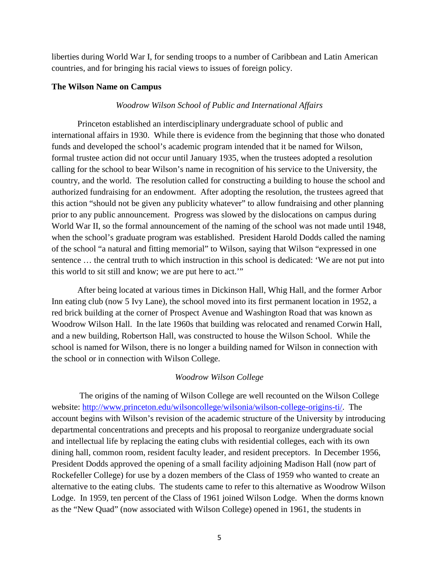liberties during World War I, for sending troops to a number of Caribbean and Latin American countries, and for bringing his racial views to issues of foreign policy.

# **The Wilson Name on Campus**

# *Woodrow Wilson School of Public and International Affairs*

Princeton established an interdisciplinary undergraduate school of public and international affairs in 1930. While there is evidence from the beginning that those who donated funds and developed the school's academic program intended that it be named for Wilson, formal trustee action did not occur until January 1935, when the trustees adopted a resolution calling for the school to bear Wilson's name in recognition of his service to the University, the country, and the world. The resolution called for constructing a building to house the school and authorized fundraising for an endowment. After adopting the resolution, the trustees agreed that this action "should not be given any publicity whatever" to allow fundraising and other planning prior to any public announcement. Progress was slowed by the dislocations on campus during World War II, so the formal announcement of the naming of the school was not made until 1948, when the school's graduate program was established. President Harold Dodds called the naming of the school "a natural and fitting memorial" to Wilson, saying that Wilson "expressed in one sentence … the central truth to which instruction in this school is dedicated: 'We are not put into this world to sit still and know; we are put here to act.'"

After being located at various times in Dickinson Hall, Whig Hall, and the former Arbor Inn eating club (now 5 Ivy Lane), the school moved into its first permanent location in 1952, a red brick building at the corner of Prospect Avenue and Washington Road that was known as Woodrow Wilson Hall. In the late 1960s that building was relocated and renamed Corwin Hall, and a new building, Robertson Hall, was constructed to house the Wilson School. While the school is named for Wilson, there is no longer a building named for Wilson in connection with the school or in connection with Wilson College.

# *Woodrow Wilson College*

 The origins of the naming of Wilson College are well recounted on the Wilson College website: [http://www.princeton.edu/wilsoncollege/wilsonia/wilson-college-origins-ti/.](http://www.princeton.edu/wilsoncollege/wilsonia/wilson-college-origins-ti/) The account begins with Wilson's revision of the academic structure of the University by introducing departmental concentrations and precepts and his proposal to reorganize undergraduate social and intellectual life by replacing the eating clubs with residential colleges, each with its own dining hall, common room, resident faculty leader, and resident preceptors. In December 1956, President Dodds approved the opening of a small facility adjoining Madison Hall (now part of Rockefeller College) for use by a dozen members of the Class of 1959 who wanted to create an alternative to the eating clubs. The students came to refer to this alternative as Woodrow Wilson Lodge. In 1959, ten percent of the Class of 1961 joined Wilson Lodge. When the dorms known as the "New Quad" (now associated with Wilson College) opened in 1961, the students in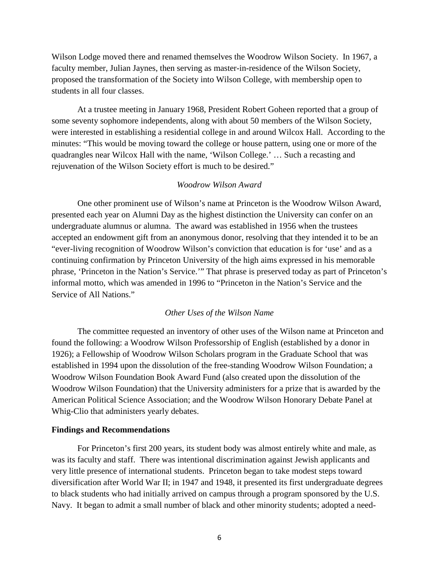Wilson Lodge moved there and renamed themselves the Woodrow Wilson Society. In 1967, a faculty member, Julian Jaynes, then serving as master-in-residence of the Wilson Society, proposed the transformation of the Society into Wilson College, with membership open to students in all four classes.

At a trustee meeting in January 1968, President Robert Goheen reported that a group of some seventy sophomore independents, along with about 50 members of the Wilson Society, were interested in establishing a residential college in and around Wilcox Hall. According to the minutes: "This would be moving toward the college or house pattern, using one or more of the quadrangles near Wilcox Hall with the name, 'Wilson College.' … Such a recasting and rejuvenation of the Wilson Society effort is much to be desired."

### *Woodrow Wilson Award*

 One other prominent use of Wilson's name at Princeton is the Woodrow Wilson Award, presented each year on Alumni Day as the highest distinction the University can confer on an undergraduate alumnus or alumna. The award was established in 1956 when the trustees accepted an endowment gift from an anonymous donor, resolving that they intended it to be an "ever-living recognition of Woodrow Wilson's conviction that education is for 'use' and as a continuing confirmation by Princeton University of the high aims expressed in his memorable phrase, 'Princeton in the Nation's Service.'" That phrase is preserved today as part of Princeton's informal motto, which was amended in 1996 to "Princeton in the Nation's Service and the Service of All Nations."

### *Other Uses of the Wilson Name*

The committee requested an inventory of other uses of the Wilson name at Princeton and found the following: a Woodrow Wilson Professorship of English (established by a donor in 1926); a Fellowship of Woodrow Wilson Scholars program in the Graduate School that was established in 1994 upon the dissolution of the free-standing Woodrow Wilson Foundation; a Woodrow Wilson Foundation Book Award Fund (also created upon the dissolution of the Woodrow Wilson Foundation) that the University administers for a prize that is awarded by the American Political Science Association; and the Woodrow Wilson Honorary Debate Panel at Whig-Clio that administers yearly debates.

#### **Findings and Recommendations**

For Princeton's first 200 years, its student body was almost entirely white and male, as was its faculty and staff. There was intentional discrimination against Jewish applicants and very little presence of international students. Princeton began to take modest steps toward diversification after World War II; in 1947 and 1948, it presented its first undergraduate degrees to black students who had initially arrived on campus through a program sponsored by the U.S. Navy. It began to admit a small number of black and other minority students; adopted a need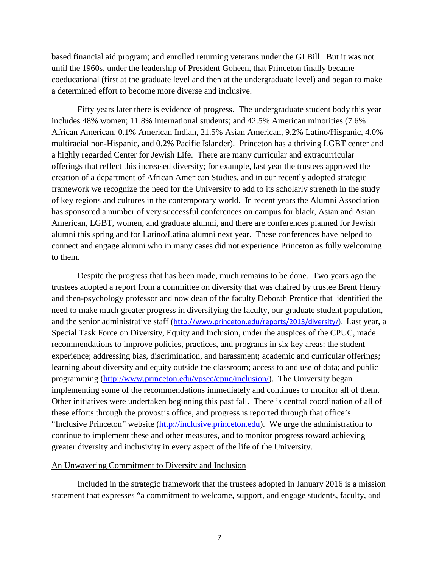based financial aid program; and enrolled returning veterans under the GI Bill. But it was not until the 1960s, under the leadership of President Goheen, that Princeton finally became coeducational (first at the graduate level and then at the undergraduate level) and began to make a determined effort to become more diverse and inclusive.

Fifty years later there is evidence of progress. The undergraduate student body this year includes 48% women; 11.8% international students; and 42.5% American minorities (7.6% African American, 0.1% American Indian, 21.5% Asian American, 9.2% Latino/Hispanic, 4.0% multiracial non-Hispanic, and 0.2% Pacific Islander). Princeton has a thriving LGBT center and a highly regarded Center for Jewish Life. There are many curricular and extracurricular offerings that reflect this increased diversity; for example, last year the trustees approved the creation of a department of African American Studies, and in our recently adopted strategic framework we recognize the need for the University to add to its scholarly strength in the study of key regions and cultures in the contemporary world. In recent years the Alumni Association has sponsored a number of very successful conferences on campus for black, Asian and Asian American, LGBT, women, and graduate alumni, and there are conferences planned for Jewish alumni this spring and for Latino/Latina alumni next year. These conferences have helped to connect and engage alumni who in many cases did not experience Princeton as fully welcoming to them.

Despite the progress that has been made, much remains to be done. Two years ago the trustees adopted a report from a committee on diversity that was chaired by trustee Brent Henry and then-psychology professor and now dean of the faculty Deborah Prentice that identified the need to make much greater progress in diversifying the faculty, our graduate student population, and the senior administrative staff ([http://www.princeton.edu/reports/2013/diversity/\)](http://www.princeton.edu/reports/2013/diversity/). Last year, a Special Task Force on Diversity, Equity and Inclusion, under the auspices of the CPUC, made recommendations to improve policies, practices, and programs in six key areas: the student experience; addressing bias, discrimination, and harassment; academic and curricular offerings; learning about diversity and equity outside the classroom; access to and use of data; and public programming [\(http://www.princeton.edu/vpsec/cpuc/inclusion/\)](http://www.princeton.edu/vpsec/cpuc/inclusion/). The University began implementing some of the recommendations immediately and continues to monitor all of them. Other initiatives were undertaken beginning this past fall. There is central coordination of all of these efforts through the provost's office, and progress is reported through that office's "Inclusive Princeton" website [\(http://inclusive.princeton.edu\)](http://inclusive.princeton.edu/). We urge the administration to continue to implement these and other measures, and to monitor progress toward achieving greater diversity and inclusivity in every aspect of the life of the University.

#### An Unwavering Commitment to Diversity and Inclusion

Included in the strategic framework that the trustees adopted in January 2016 is a mission statement that expresses "a commitment to welcome, support, and engage students, faculty, and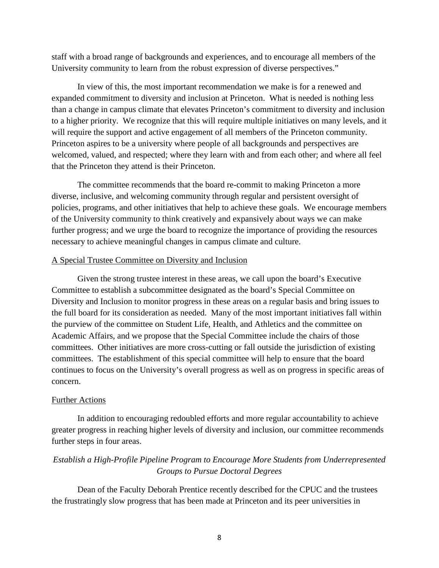staff with a broad range of backgrounds and experiences, and to encourage all members of the University community to learn from the robust expression of diverse perspectives."

In view of this, the most important recommendation we make is for a renewed and expanded commitment to diversity and inclusion at Princeton. What is needed is nothing less than a change in campus climate that elevates Princeton's commitment to diversity and inclusion to a higher priority. We recognize that this will require multiple initiatives on many levels, and it will require the support and active engagement of all members of the Princeton community. Princeton aspires to be a university where people of all backgrounds and perspectives are welcomed, valued, and respected; where they learn with and from each other; and where all feel that the Princeton they attend is their Princeton.

The committee recommends that the board re-commit to making Princeton a more diverse, inclusive, and welcoming community through regular and persistent oversight of policies, programs, and other initiatives that help to achieve these goals. We encourage members of the University community to think creatively and expansively about ways we can make further progress; and we urge the board to recognize the importance of providing the resources necessary to achieve meaningful changes in campus climate and culture.

# A Special Trustee Committee on Diversity and Inclusion

Given the strong trustee interest in these areas, we call upon the board's Executive Committee to establish a subcommittee designated as the board's Special Committee on Diversity and Inclusion to monitor progress in these areas on a regular basis and bring issues to the full board for its consideration as needed. Many of the most important initiatives fall within the purview of the committee on Student Life, Health, and Athletics and the committee on Academic Affairs, and we propose that the Special Committee include the chairs of those committees. Other initiatives are more cross-cutting or fall outside the jurisdiction of existing committees. The establishment of this special committee will help to ensure that the board continues to focus on the University's overall progress as well as on progress in specific areas of concern.

### Further Actions

In addition to encouraging redoubled efforts and more regular accountability to achieve greater progress in reaching higher levels of diversity and inclusion, our committee recommends further steps in four areas.

# *Establish a High-Profile Pipeline Program to Encourage More Students from Underrepresented Groups to Pursue Doctoral Degrees*

Dean of the Faculty Deborah Prentice recently described for the CPUC and the trustees the frustratingly slow progress that has been made at Princeton and its peer universities in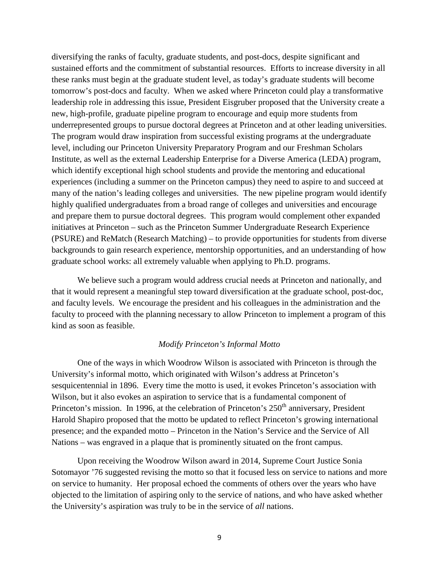diversifying the ranks of faculty, graduate students, and post-docs, despite significant and sustained efforts and the commitment of substantial resources. Efforts to increase diversity in all these ranks must begin at the graduate student level, as today's graduate students will become tomorrow's post-docs and faculty. When we asked where Princeton could play a transformative leadership role in addressing this issue, President Eisgruber proposed that the University create a new, high-profile, graduate pipeline program to encourage and equip more students from underrepresented groups to pursue doctoral degrees at Princeton and at other leading universities. The program would draw inspiration from successful existing programs at the undergraduate level, including our Princeton University Preparatory Program and our Freshman Scholars Institute, as well as the external Leadership Enterprise for a Diverse America (LEDA) program, which identify exceptional high school students and provide the mentoring and educational experiences (including a summer on the Princeton campus) they need to aspire to and succeed at many of the nation's leading colleges and universities. The new pipeline program would identify highly qualified undergraduates from a broad range of colleges and universities and encourage and prepare them to pursue doctoral degrees. This program would complement other expanded initiatives at Princeton – such as the Princeton Summer Undergraduate Research Experience (PSURE) and ReMatch (Research Matching) – to provide opportunities for students from diverse backgrounds to gain research experience, mentorship opportunities, and an understanding of how graduate school works: all extremely valuable when applying to Ph.D. programs.

We believe such a program would address crucial needs at Princeton and nationally, and that it would represent a meaningful step toward diversification at the graduate school, post-doc, and faculty levels. We encourage the president and his colleagues in the administration and the faculty to proceed with the planning necessary to allow Princeton to implement a program of this kind as soon as feasible.

### *Modify Princeton's Informal Motto*

One of the ways in which Woodrow Wilson is associated with Princeton is through the University's informal motto, which originated with Wilson's address at Princeton's sesquicentennial in 1896. Every time the motto is used, it evokes Princeton's association with Wilson, but it also evokes an aspiration to service that is a fundamental component of Princeton's mission. In 1996, at the celebration of Princeton's  $250<sup>th</sup>$  anniversary, President Harold Shapiro proposed that the motto be updated to reflect Princeton's growing international presence; and the expanded motto – Princeton in the Nation's Service and the Service of All Nations – was engraved in a plaque that is prominently situated on the front campus.

Upon receiving the Woodrow Wilson award in 2014, Supreme Court Justice Sonia Sotomayor '76 suggested revising the motto so that it focused less on service to nations and more on service to humanity. Her proposal echoed the comments of others over the years who have objected to the limitation of aspiring only to the service of nations, and who have asked whether the University's aspiration was truly to be in the service of *all* nations.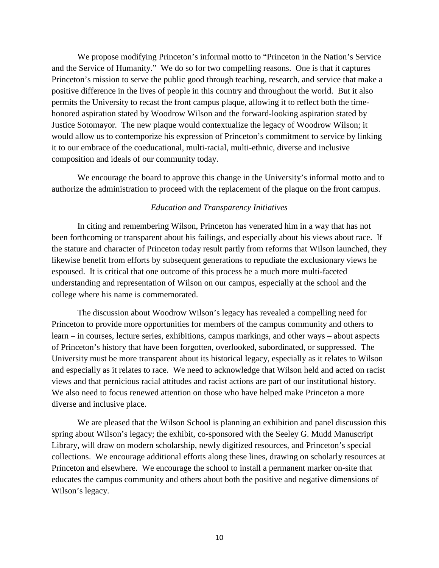We propose modifying Princeton's informal motto to "Princeton in the Nation's Service and the Service of Humanity." We do so for two compelling reasons. One is that it captures Princeton's mission to serve the public good through teaching, research, and service that make a positive difference in the lives of people in this country and throughout the world. But it also permits the University to recast the front campus plaque, allowing it to reflect both the timehonored aspiration stated by Woodrow Wilson and the forward-looking aspiration stated by Justice Sotomayor. The new plaque would contextualize the legacy of Woodrow Wilson; it would allow us to contemporize his expression of Princeton's commitment to service by linking it to our embrace of the coeducational, multi-racial, multi-ethnic, diverse and inclusive composition and ideals of our community today.

We encourage the board to approve this change in the University's informal motto and to authorize the administration to proceed with the replacement of the plaque on the front campus.

# *Education and Transparency Initiatives*

In citing and remembering Wilson, Princeton has venerated him in a way that has not been forthcoming or transparent about his failings, and especially about his views about race. If the stature and character of Princeton today result partly from reforms that Wilson launched, they likewise benefit from efforts by subsequent generations to repudiate the exclusionary views he espoused. It is critical that one outcome of this process be a much more multi-faceted understanding and representation of Wilson on our campus, especially at the school and the college where his name is commemorated.

The discussion about Woodrow Wilson's legacy has revealed a compelling need for Princeton to provide more opportunities for members of the campus community and others to learn – in courses, lecture series, exhibitions, campus markings, and other ways – about aspects of Princeton's history that have been forgotten, overlooked, subordinated, or suppressed. The University must be more transparent about its historical legacy, especially as it relates to Wilson and especially as it relates to race. We need to acknowledge that Wilson held and acted on racist views and that pernicious racial attitudes and racist actions are part of our institutional history. We also need to focus renewed attention on those who have helped make Princeton a more diverse and inclusive place.

We are pleased that the Wilson School is planning an exhibition and panel discussion this spring about Wilson's legacy; the exhibit, co-sponsored with the Seeley G. Mudd Manuscript Library, will draw on modern scholarship, newly digitized resources, and Princeton's special collections. We encourage additional efforts along these lines, drawing on scholarly resources at Princeton and elsewhere. We encourage the school to install a permanent marker on-site that educates the campus community and others about both the positive and negative dimensions of Wilson's legacy.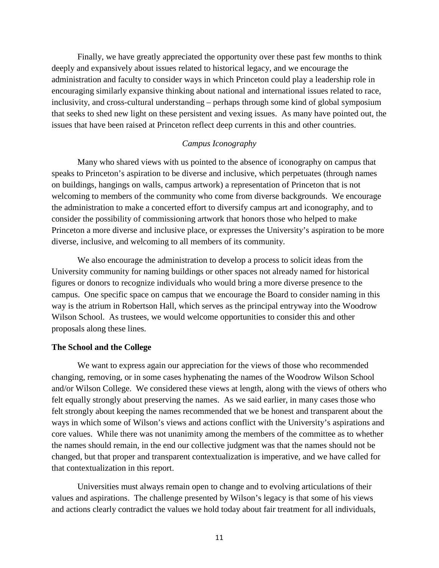Finally, we have greatly appreciated the opportunity over these past few months to think deeply and expansively about issues related to historical legacy, and we encourage the administration and faculty to consider ways in which Princeton could play a leadership role in encouraging similarly expansive thinking about national and international issues related to race, inclusivity, and cross-cultural understanding – perhaps through some kind of global symposium that seeks to shed new light on these persistent and vexing issues. As many have pointed out, the issues that have been raised at Princeton reflect deep currents in this and other countries.

# *Campus Iconography*

Many who shared views with us pointed to the absence of iconography on campus that speaks to Princeton's aspiration to be diverse and inclusive, which perpetuates (through names on buildings, hangings on walls, campus artwork) a representation of Princeton that is not welcoming to members of the community who come from diverse backgrounds. We encourage the administration to make a concerted effort to diversify campus art and iconography, and to consider the possibility of commissioning artwork that honors those who helped to make Princeton a more diverse and inclusive place, or expresses the University's aspiration to be more diverse, inclusive, and welcoming to all members of its community.

We also encourage the administration to develop a process to solicit ideas from the University community for naming buildings or other spaces not already named for historical figures or donors to recognize individuals who would bring a more diverse presence to the campus. One specific space on campus that we encourage the Board to consider naming in this way is the atrium in Robertson Hall, which serves as the principal entryway into the Woodrow Wilson School. As trustees, we would welcome opportunities to consider this and other proposals along these lines.

### **The School and the College**

We want to express again our appreciation for the views of those who recommended changing, removing, or in some cases hyphenating the names of the Woodrow Wilson School and/or Wilson College. We considered these views at length, along with the views of others who felt equally strongly about preserving the names. As we said earlier, in many cases those who felt strongly about keeping the names recommended that we be honest and transparent about the ways in which some of Wilson's views and actions conflict with the University's aspirations and core values. While there was not unanimity among the members of the committee as to whether the names should remain, in the end our collective judgment was that the names should not be changed, but that proper and transparent contextualization is imperative, and we have called for that contextualization in this report.

Universities must always remain open to change and to evolving articulations of their values and aspirations. The challenge presented by Wilson's legacy is that some of his views and actions clearly contradict the values we hold today about fair treatment for all individuals,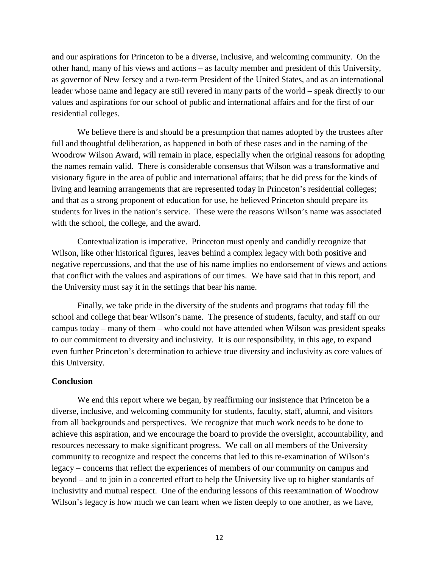and our aspirations for Princeton to be a diverse, inclusive, and welcoming community. On the other hand, many of his views and actions – as faculty member and president of this University, as governor of New Jersey and a two-term President of the United States, and as an international leader whose name and legacy are still revered in many parts of the world – speak directly to our values and aspirations for our school of public and international affairs and for the first of our residential colleges.

We believe there is and should be a presumption that names adopted by the trustees after full and thoughtful deliberation, as happened in both of these cases and in the naming of the Woodrow Wilson Award, will remain in place, especially when the original reasons for adopting the names remain valid. There is considerable consensus that Wilson was a transformative and visionary figure in the area of public and international affairs; that he did press for the kinds of living and learning arrangements that are represented today in Princeton's residential colleges; and that as a strong proponent of education for use, he believed Princeton should prepare its students for lives in the nation's service. These were the reasons Wilson's name was associated with the school, the college, and the award.

Contextualization is imperative. Princeton must openly and candidly recognize that Wilson, like other historical figures, leaves behind a complex legacy with both positive and negative repercussions, and that the use of his name implies no endorsement of views and actions that conflict with the values and aspirations of our times. We have said that in this report, and the University must say it in the settings that bear his name.

Finally, we take pride in the diversity of the students and programs that today fill the school and college that bear Wilson's name. The presence of students, faculty, and staff on our campus today – many of them – who could not have attended when Wilson was president speaks to our commitment to diversity and inclusivity. It is our responsibility, in this age, to expand even further Princeton's determination to achieve true diversity and inclusivity as core values of this University.

### **Conclusion**

We end this report where we began, by reaffirming our insistence that Princeton be a diverse, inclusive, and welcoming community for students, faculty, staff, alumni, and visitors from all backgrounds and perspectives. We recognize that much work needs to be done to achieve this aspiration, and we encourage the board to provide the oversight, accountability, and resources necessary to make significant progress. We call on all members of the University community to recognize and respect the concerns that led to this re-examination of Wilson's legacy – concerns that reflect the experiences of members of our community on campus and beyond – and to join in a concerted effort to help the University live up to higher standards of inclusivity and mutual respect. One of the enduring lessons of this reexamination of Woodrow Wilson's legacy is how much we can learn when we listen deeply to one another, as we have,